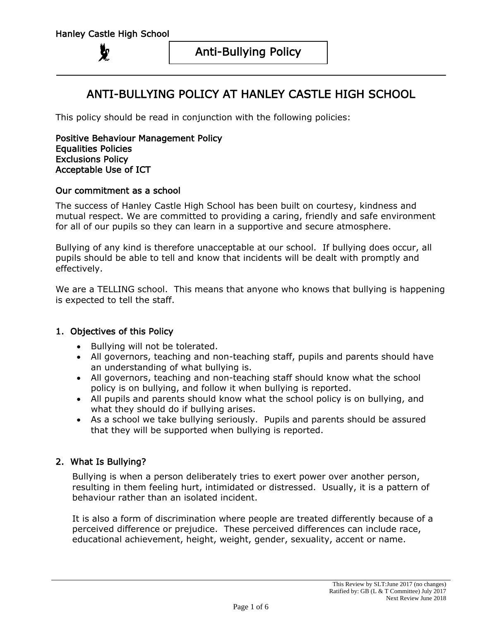# ANTI-BULLYING POLICY AT HANLEY CASTLE HIGH SCHOOL

This policy should be read in conjunction with the following policies:

Positive Behaviour Management Policy Equalities Policies Exclusions Policy Acceptable Use of ICT

#### Our commitment as a school

The success of Hanley Castle High School has been built on courtesy, kindness and mutual respect. We are committed to providing a caring, friendly and safe environment for all of our pupils so they can learn in a supportive and secure atmosphere.

Bullying of any kind is therefore unacceptable at our school. If bullying does occur, all pupils should be able to tell and know that incidents will be dealt with promptly and effectively.

We are a TELLING school. This means that anyone who knows that bullying is happening is expected to tell the staff.

## 1. Objectives of this Policy

- Bullying will not be tolerated.
- All governors, teaching and non-teaching staff, pupils and parents should have an understanding of what bullying is.
- All governors, teaching and non-teaching staff should know what the school policy is on bullying, and follow it when bullying is reported.
- All pupils and parents should know what the school policy is on bullying, and what they should do if bullying arises.
- As a school we take bullying seriously. Pupils and parents should be assured that they will be supported when bullying is reported.

## 2. What Is Bullying?

Bullying is when a person deliberately tries to exert power over another person, resulting in them feeling hurt, intimidated or distressed. Usually, it is a pattern of behaviour rather than an isolated incident.

It is also a form of discrimination where people are treated differently because of a perceived difference or prejudice. These perceived differences can include race, educational achievement, height, weight, gender, sexuality, accent or name.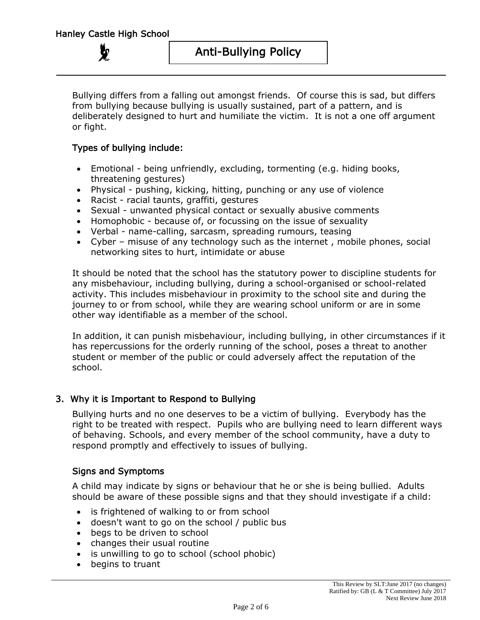**Ly** 

Bullying differs from a falling out amongst friends. Of course this is sad, but differs from bullying because bullying is usually sustained, part of a pattern, and is deliberately designed to hurt and humiliate the victim. It is not a one off argument or fight.

## Types of bullying include:

- Emotional being unfriendly, excluding, tormenting (e.g. hiding books, threatening gestures)
- Physical pushing, kicking, hitting, punching or any use of violence
- Racist racial taunts, graffiti, gestures
- Sexual unwanted physical contact or sexually abusive comments
- Homophobic because of, or focussing on the issue of sexuality
- Verbal name-calling, sarcasm, spreading rumours, teasing
- Cyber misuse of any technology such as the internet , mobile phones, social networking sites to hurt, intimidate or abuse

It should be noted that the school has the statutory power to discipline students for any misbehaviour, including bullying, during a school-organised or school-related activity. This includes misbehaviour in proximity to the school site and during the journey to or from school, while they are wearing school uniform or are in some other way identifiable as a member of the school.

In addition, it can punish misbehaviour, including bullying, in other circumstances if it has repercussions for the orderly running of the school, poses a threat to another student or member of the public or could adversely affect the reputation of the school.

## 3. Why it is Important to Respond to Bullying

Bullying hurts and no one deserves to be a victim of bullying. Everybody has the right to be treated with respect. Pupils who are bullying need to learn different ways of behaving. Schools, and every member of the school community, have a duty to respond promptly and effectively to issues of bullying.

#### Signs and Symptoms

A child may indicate by signs or behaviour that he or she is being bullied. Adults should be aware of these possible signs and that they should investigate if a child:

- is frightened of walking to or from school
- doesn't want to go on the school / public bus
- begs to be driven to school
- changes their usual routine
- is unwilling to go to school (school phobic)
- begins to truant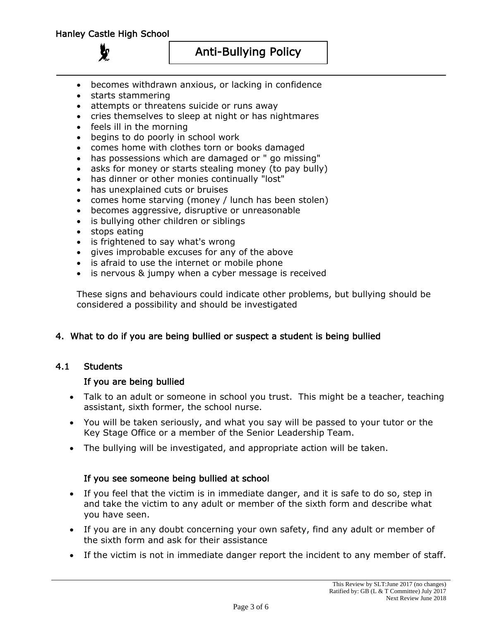- becomes withdrawn anxious, or lacking in confidence
- starts stammering
- attempts or threatens suicide or runs away
- cries themselves to sleep at night or has nightmares
- feels ill in the morning
- begins to do poorly in school work
- comes home with clothes torn or books damaged
- has possessions which are damaged or " go missing"
- asks for money or starts stealing money (to pay bully)
- has dinner or other monies continually "lost"
- has unexplained cuts or bruises
- comes home starving (money / lunch has been stolen)
- becomes aggressive, disruptive or unreasonable
- is bullying other children or siblings
- stops eating
- is frightened to say what's wrong
- gives improbable excuses for any of the above
- is afraid to use the internet or mobile phone
- is nervous & jumpy when a cyber message is received

These signs and behaviours could indicate other problems, but bullying should be considered a possibility and should be investigated

## 4. What to do if you are being bullied or suspect a student is being bullied

## 4.1 Students

## If you are being bullied

- Talk to an adult or someone in school you trust. This might be a teacher, teaching assistant, sixth former, the school nurse.
- You will be taken seriously, and what you say will be passed to your tutor or the Key Stage Office or a member of the Senior Leadership Team.
- The bullying will be investigated, and appropriate action will be taken.

## If you see someone being bullied at school

- If you feel that the victim is in immediate danger, and it is safe to do so, step in and take the victim to any adult or member of the sixth form and describe what you have seen.
- If you are in any doubt concerning your own safety, find any adult or member of the sixth form and ask for their assistance
- If the victim is not in immediate danger report the incident to any member of staff.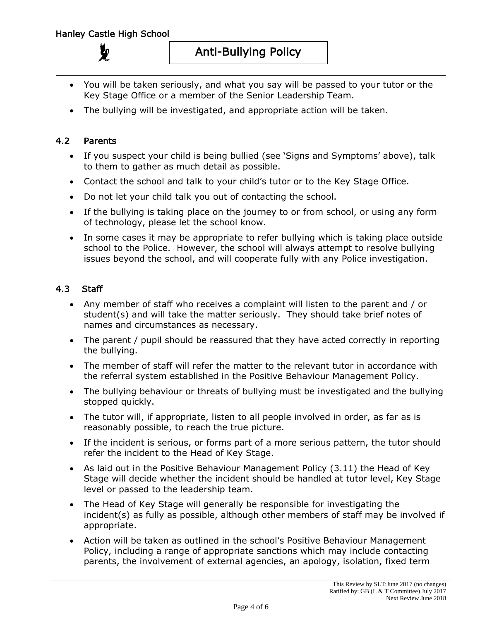- You will be taken seriously, and what you say will be passed to your tutor or the Key Stage Office or a member of the Senior Leadership Team.
- The bullying will be investigated, and appropriate action will be taken.

## 4.2 Parents

- If you suspect your child is being bullied (see 'Signs and Symptoms' above), talk to them to gather as much detail as possible.
- Contact the school and talk to your child's tutor or to the Key Stage Office.
- Do not let your child talk you out of contacting the school.
- If the bullying is taking place on the journey to or from school, or using any form of technology, please let the school know.
- In some cases it may be appropriate to refer bullying which is taking place outside school to the Police. However, the school will always attempt to resolve bullying issues beyond the school, and will cooperate fully with any Police investigation.

# 4.3 Staff

- Any member of staff who receives a complaint will listen to the parent and / or student(s) and will take the matter seriously. They should take brief notes of names and circumstances as necessary.
- The parent / pupil should be reassured that they have acted correctly in reporting the bullying.
- The member of staff will refer the matter to the relevant tutor in accordance with the referral system established in the Positive Behaviour Management Policy.
- The bullying behaviour or threats of bullying must be investigated and the bullying stopped quickly.
- The tutor will, if appropriate, listen to all people involved in order, as far as is reasonably possible, to reach the true picture.
- If the incident is serious, or forms part of a more serious pattern, the tutor should refer the incident to the Head of Key Stage.
- As laid out in the Positive Behaviour Management Policy (3.11) the Head of Key Stage will decide whether the incident should be handled at tutor level, Key Stage level or passed to the leadership team.
- The Head of Key Stage will generally be responsible for investigating the incident(s) as fully as possible, although other members of staff may be involved if appropriate.
- Action will be taken as outlined in the school's Positive Behaviour Management Policy, including a range of appropriate sanctions which may include contacting parents, the involvement of external agencies, an apology, isolation, fixed term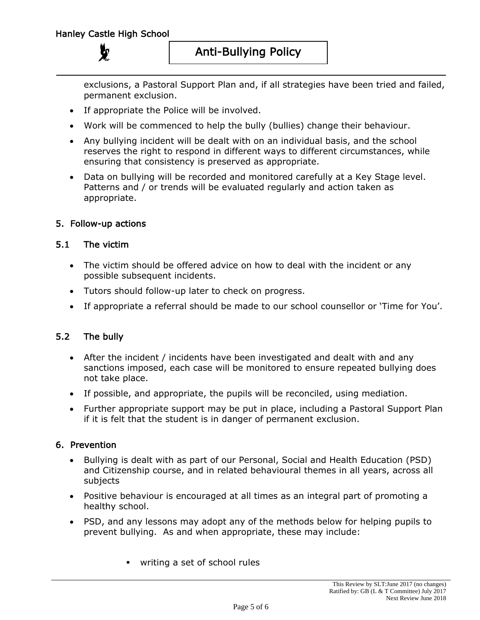exclusions, a Pastoral Support Plan and, if all strategies have been tried and failed, permanent exclusion.

- If appropriate the Police will be involved.
- Work will be commenced to help the bully (bullies) change their behaviour.
- Any bullying incident will be dealt with on an individual basis, and the school reserves the right to respond in different ways to different circumstances, while ensuring that consistency is preserved as appropriate.
- Data on bullying will be recorded and monitored carefully at a Key Stage level. Patterns and / or trends will be evaluated regularly and action taken as appropriate.

## 5. Follow-up actions

## 5.1 The victim

- The victim should be offered advice on how to deal with the incident or any possible subsequent incidents.
- Tutors should follow-up later to check on progress.
- If appropriate a referral should be made to our school counsellor or 'Time for You'.

# 5.2 The bully

- After the incident / incidents have been investigated and dealt with and any sanctions imposed, each case will be monitored to ensure repeated bullying does not take place.
- If possible, and appropriate, the pupils will be reconciled, using mediation.
- Further appropriate support may be put in place, including a Pastoral Support Plan if it is felt that the student is in danger of permanent exclusion.

## 6. Prevention

- Bullying is dealt with as part of our Personal, Social and Health Education (PSD) and Citizenship course, and in related behavioural themes in all years, across all subjects
- Positive behaviour is encouraged at all times as an integral part of promoting a healthy school.
- PSD, and any lessons may adopt any of the methods below for helping pupils to prevent bullying. As and when appropriate, these may include:
	- writing a set of school rules